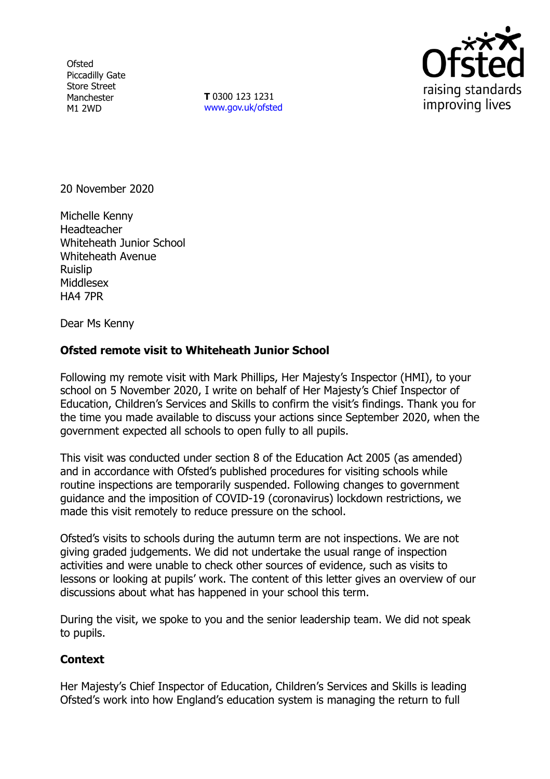**Ofsted** Piccadilly Gate Store Street Manchester M1 2WD

**T** 0300 123 1231 [www.gov.uk/ofsted](http://www.gov.uk/ofsted)



20 November 2020

Michelle Kenny **Headteacher** Whiteheath Junior School Whiteheath Avenue Ruislip Middlesex HA4 7PR

Dear Ms Kenny

## **Ofsted remote visit to Whiteheath Junior School**

Following my remote visit with Mark Phillips, Her Majesty's Inspector (HMI), to your school on 5 November 2020, I write on behalf of Her Majesty's Chief Inspector of Education, Children's Services and Skills to confirm the visit's findings. Thank you for the time you made available to discuss your actions since September 2020, when the government expected all schools to open fully to all pupils.

This visit was conducted under section 8 of the Education Act 2005 (as amended) and in accordance with Ofsted's published procedures for visiting schools while routine inspections are temporarily suspended. Following changes to government guidance and the imposition of COVID-19 (coronavirus) lockdown restrictions, we made this visit remotely to reduce pressure on the school.

Ofsted's visits to schools during the autumn term are not inspections. We are not giving graded judgements. We did not undertake the usual range of inspection activities and were unable to check other sources of evidence, such as visits to lessons or looking at pupils' work. The content of this letter gives an overview of our discussions about what has happened in your school this term.

During the visit, we spoke to you and the senior leadership team. We did not speak to pupils.

## **Context**

Her Majesty's Chief Inspector of Education, Children's Services and Skills is leading Ofsted's work into how England's education system is managing the return to full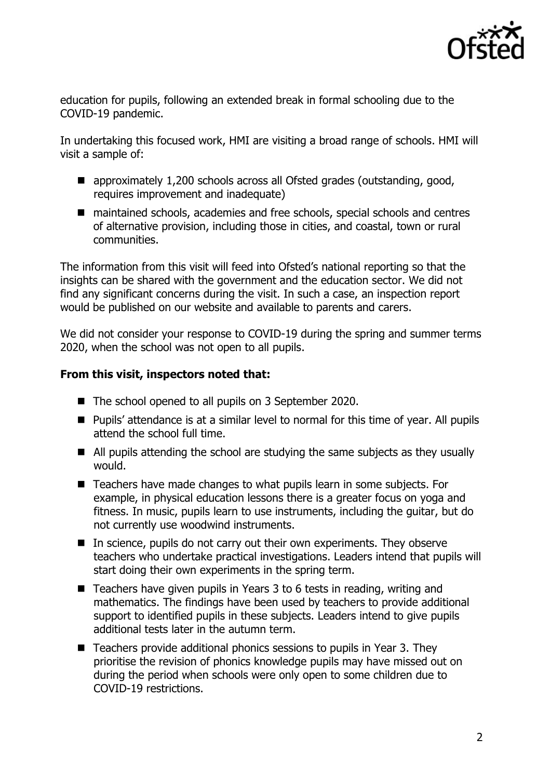

education for pupils, following an extended break in formal schooling due to the COVID-19 pandemic.

In undertaking this focused work, HMI are visiting a broad range of schools. HMI will visit a sample of:

- approximately 1,200 schools across all Ofsted grades (outstanding, good, requires improvement and inadequate)
- maintained schools, academies and free schools, special schools and centres of alternative provision, including those in cities, and coastal, town or rural communities.

The information from this visit will feed into Ofsted's national reporting so that the insights can be shared with the government and the education sector. We did not find any significant concerns during the visit. In such a case, an inspection report would be published on our website and available to parents and carers.

We did not consider your response to COVID-19 during the spring and summer terms 2020, when the school was not open to all pupils.

## **From this visit, inspectors noted that:**

- The school opened to all pupils on 3 September 2020.
- Pupils' attendance is at a similar level to normal for this time of year. All pupils attend the school full time.
- All pupils attending the school are studying the same subjects as they usually would.
- Teachers have made changes to what pupils learn in some subjects. For example, in physical education lessons there is a greater focus on yoga and fitness. In music, pupils learn to use instruments, including the guitar, but do not currently use woodwind instruments.
- $\blacksquare$  In science, pupils do not carry out their own experiments. They observe teachers who undertake practical investigations. Leaders intend that pupils will start doing their own experiments in the spring term.
- Teachers have given pupils in Years 3 to 6 tests in reading, writing and mathematics. The findings have been used by teachers to provide additional support to identified pupils in these subjects. Leaders intend to give pupils additional tests later in the autumn term.
- $\blacksquare$  Teachers provide additional phonics sessions to pupils in Year 3. They prioritise the revision of phonics knowledge pupils may have missed out on during the period when schools were only open to some children due to COVID-19 restrictions.